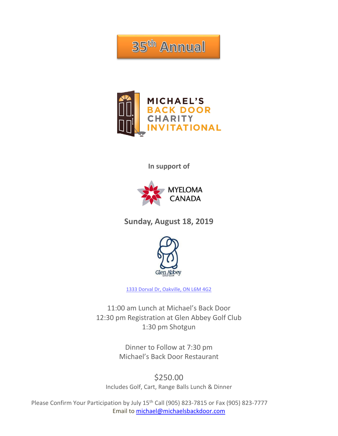35<sup>th</sup> Annual



**In support of**



**Sunday, August 18, 2019**



[1333 Dorval Dr, Oakville, ON L6M 4G2](https://goo.gl/maps/A5rs6AgRGNn)

11:00 am Lunch at Michael's Back Door 12:30 pm Registration at Glen Abbey Golf Club 1:30 pm Shotgun

> Dinner to Follow at 7:30 pm Michael's Back Door Restaurant

\$250.00 Includes Golf, Cart, Range Balls Lunch & Dinner

Please Confirm Your Participation by July 15<sup>th</sup> Call (905) 823-7815 or Fax (905) 823-7777 Email to [michael@michaelsbackdoor.com](mailto:michael@michaelsbackdoor.com)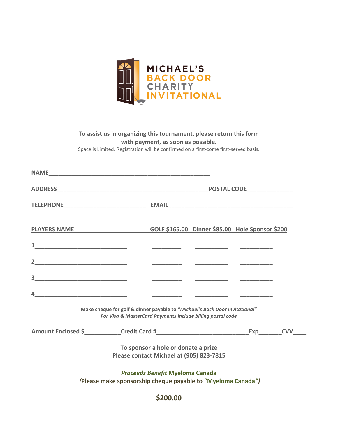

#### **To assist us in organizing this tournament, please return this form with payment, as soon as possible.** Space is Limited. Registration will be confirmed on a first-come first-served basis.

| PLAYERS NAME                                                                                                                                                                                                                                                                                                                                                                         |                                                                                                                                           |          | GOLF \$165.00 Dinner \$85.00 Hole Sponsor \$200 |  |  |
|--------------------------------------------------------------------------------------------------------------------------------------------------------------------------------------------------------------------------------------------------------------------------------------------------------------------------------------------------------------------------------------|-------------------------------------------------------------------------------------------------------------------------------------------|----------|-------------------------------------------------|--|--|
|                                                                                                                                                                                                                                                                                                                                                                                      |                                                                                                                                           |          |                                                 |  |  |
| 2                                                                                                                                                                                                                                                                                                                                                                                    |                                                                                                                                           |          |                                                 |  |  |
|                                                                                                                                                                                                                                                                                                                                                                                      |                                                                                                                                           |          |                                                 |  |  |
| $\overline{4}$ $\overline{2}$ $\overline{2}$ $\overline{2}$ $\overline{2}$ $\overline{2}$ $\overline{2}$ $\overline{2}$ $\overline{2}$ $\overline{2}$ $\overline{2}$ $\overline{2}$ $\overline{2}$ $\overline{2}$ $\overline{2}$ $\overline{2}$ $\overline{2}$ $\overline{2}$ $\overline{2}$ $\overline{2}$ $\overline{2}$ $\overline{2}$ $\overline{2}$ $\overline{2}$ $\overline{$ |                                                                                                                                           |          |                                                 |  |  |
|                                                                                                                                                                                                                                                                                                                                                                                      | Make cheque for golf & dinner payable to "Michael's Back Door Invitational"<br>For Visa & MasterCard Payments include billing postal code |          |                                                 |  |  |
|                                                                                                                                                                                                                                                                                                                                                                                      |                                                                                                                                           |          |                                                 |  |  |
|                                                                                                                                                                                                                                                                                                                                                                                      | To sponsor a hole or donate a prize<br>Please contact Michael at (905) 823-7815                                                           |          |                                                 |  |  |
|                                                                                                                                                                                                                                                                                                                                                                                      | <b>Proceeds Benefit Myeloma Canada</b><br>(Please make sponsorship cheque payable to "Myeloma Canada")                                    |          |                                                 |  |  |
|                                                                                                                                                                                                                                                                                                                                                                                      |                                                                                                                                           | \$200.00 |                                                 |  |  |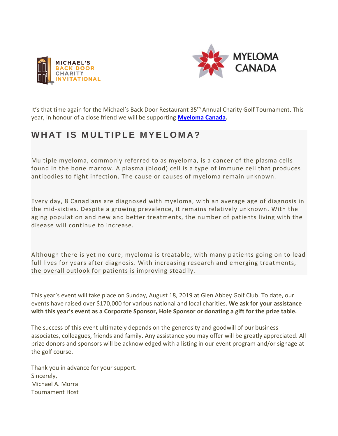



It's that time again for the Michael's Back Door Restaurant 35<sup>th</sup> Annual Charity Golf Tournament. This year, in honour of a close friend we will be supporting **[Myeloma Canada.](https://myeloma.ca/en)**

# WHAT IS MULTIPLE MYELOMA?

Multiple myeloma, commonly referred to as myeloma, is a cancer of the plasma cells found in the bone marrow. A plasma (blood) cell is a type of immune cell that produces antibodies to fight infection. The cause or causes of myeloma remain unknown.

Every day, 8 Canadians are diagnosed with myeloma, with an average age of diagnosis in the mid-sixties. Despite a growing prevalence, it remains relatively unknown. With the aging population and new and better treatments, the number of patients living with the disease will continue to increase.

Although there is yet no cure, myeloma is treatable, with many p atients going on to lead full lives for years after diagnosis. With increasing research and emerging treatments, the overall outlook for patients is improving steadily .

This year's event will take place on Sunday, August 18, 2019 at Glen Abbey Golf Club. To date, our events have raised over \$170,000 for various national and local charities. **We ask for your assistance with this year's event as a Corporate Sponsor, Hole Sponsor or donating a gift for the prize table.**

The success of this event ultimately depends on the generosity and goodwill of our business associates, colleagues, friends and family. Any assistance you may offer will be greatly appreciated. All prize donors and sponsors will be acknowledged with a listing in our event program and/or signage at the golf course.

Thank you in advance for your support. Sincerely, Michael A. Morra Tournament Host